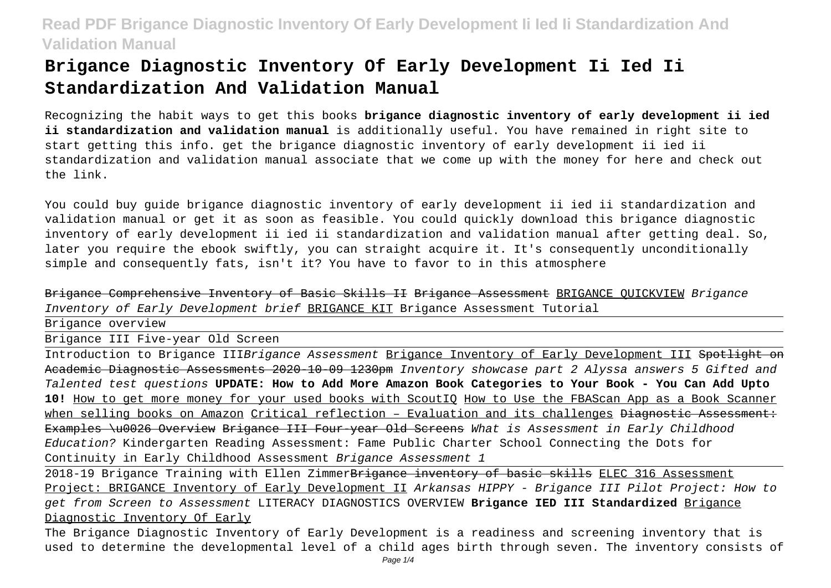# **Brigance Diagnostic Inventory Of Early Development Ii Ied Ii Standardization And Validation Manual**

Recognizing the habit ways to get this books **brigance diagnostic inventory of early development ii ied ii standardization and validation manual** is additionally useful. You have remained in right site to start getting this info. get the brigance diagnostic inventory of early development ii ied ii standardization and validation manual associate that we come up with the money for here and check out the link.

You could buy guide brigance diagnostic inventory of early development ii ied ii standardization and validation manual or get it as soon as feasible. You could quickly download this brigance diagnostic inventory of early development ii ied ii standardization and validation manual after getting deal. So, later you require the ebook swiftly, you can straight acquire it. It's consequently unconditionally simple and consequently fats, isn't it? You have to favor to in this atmosphere

Brigance Comprehensive Inventory of Basic Skills II Brigance Assessment BRIGANCE QUICKVIEW Brigance Inventory of Early Development brief BRIGANCE KIT Brigance Assessment Tutorial

Brigance overview Brigance III Five-year Old Screen Introduction to Brigance IIIBrigance Assessment Brigance Inventory of Early Development III <del>Spotlight on</del> Academic Diagnostic Assessments 2020-10-09 1230pm Inventory showcase part 2 Alyssa answers 5 Gifted and Talented test questions **UPDATE: How to Add More Amazon Book Categories to Your Book - You Can Add Upto 10!** How to get more money for your used books with ScoutIQ How to Use the FBAScan App as a Book Scanner when selling books on Amazon Critical reflection – Evaluation and its challenges Diagnostic Assessment: Examples \u0026 Overview Brigance III Four year Old Screens What is Assessment in Early Childhood Education? Kindergarten Reading Assessment: Fame Public Charter School Connecting the Dots for Continuity in Early Childhood Assessment Brigance Assessment 1

2018-19 Brigance Training with Ellen Zimmer<del>Brigance inventory of basic skills</del> ELEC 316 Assessment Project: BRIGANCE Inventory of Early Development II Arkansas HIPPY - Brigance III Pilot Project: How to get from Screen to Assessment LITERACY DIAGNOSTICS OVERVIEW **Brigance IED III Standardized** Brigance Diagnostic Inventory Of Early

The Brigance Diagnostic Inventory of Early Development is a readiness and screening inventory that is used to determine the developmental level of a child ages birth through seven. The inventory consists of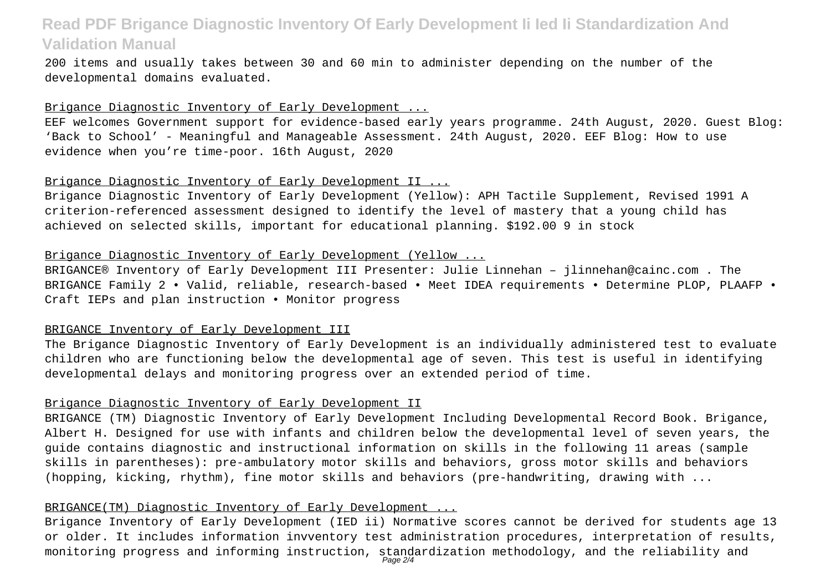200 items and usually takes between 30 and 60 min to administer depending on the number of the developmental domains evaluated.

## Brigance Diagnostic Inventory of Early Development ...

EEF welcomes Government support for evidence-based early years programme. 24th August, 2020. Guest Blog: 'Back to School' - Meaningful and Manageable Assessment. 24th August, 2020. EEF Blog: How to use evidence when you're time-poor. 16th August, 2020

## Brigance Diagnostic Inventory of Early Development II ...

Brigance Diagnostic Inventory of Early Development (Yellow): APH Tactile Supplement, Revised 1991 A criterion-referenced assessment designed to identify the level of mastery that a young child has achieved on selected skills, important for educational planning. \$192.00 9 in stock

## Brigance Diagnostic Inventory of Early Development (Yellow ...

BRIGANCE® Inventory of Early Development III Presenter: Julie Linnehan – jlinnehan@cainc.com . The BRIGANCE Family 2 • Valid, reliable, research-based • Meet IDEA requirements • Determine PLOP, PLAAFP • Craft IEPs and plan instruction • Monitor progress

#### BRIGANCE Inventory of Early Development III

The Brigance Diagnostic Inventory of Early Development is an individually administered test to evaluate children who are functioning below the developmental age of seven. This test is useful in identifying developmental delays and monitoring progress over an extended period of time.

### Brigance Diagnostic Inventory of Early Development II

BRIGANCE (TM) Diagnostic Inventory of Early Development Including Developmental Record Book. Brigance, Albert H. Designed for use with infants and children below the developmental level of seven years, the guide contains diagnostic and instructional information on skills in the following 11 areas (sample skills in parentheses): pre-ambulatory motor skills and behaviors, gross motor skills and behaviors (hopping, kicking, rhythm), fine motor skills and behaviors (pre-handwriting, drawing with ...

## BRIGANCE(TM) Diagnostic Inventory of Early Development ...

Brigance Inventory of Early Development (IED ii) Normative scores cannot be derived for students age 13 or older. It includes information invventory test administration procedures, interpretation of results, monitoring progress and informing instruction, standardization methodology, and the reliability and<br>Page2/4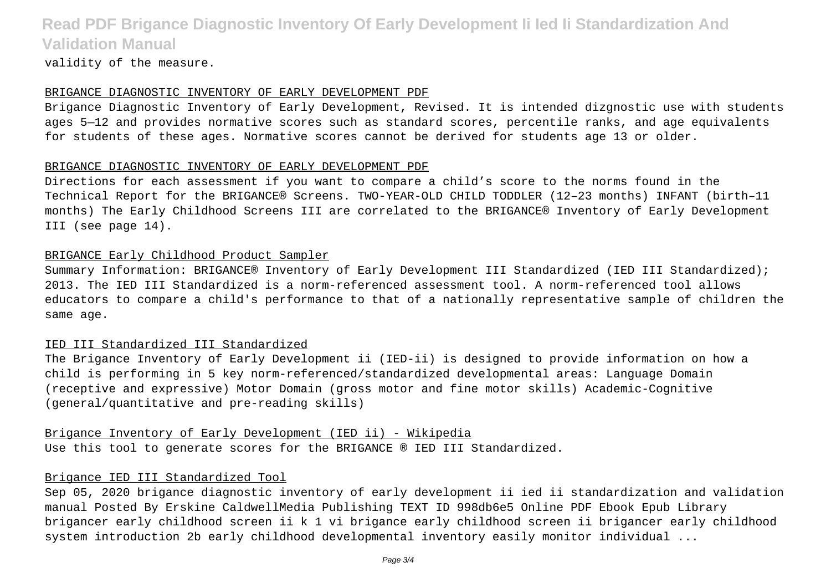validity of the measure.

#### BRIGANCE DIAGNOSTIC INVENTORY OF EARLY DEVELOPMENT PDF

Brigance Diagnostic Inventory of Early Development, Revised. It is intended dizgnostic use with students ages 5—12 and provides normative scores such as standard scores, percentile ranks, and age equivalents for students of these ages. Normative scores cannot be derived for students age 13 or older.

#### BRIGANCE DIAGNOSTIC INVENTORY OF EARLY DEVELOPMENT PDF

Directions for each assessment if you want to compare a child's score to the norms found in the Technical Report for the BRIGANCE® Screens. TWO-YEAR-OLD CHILD TODDLER (12–23 months) INFANT (birth–11 months) The Early Childhood Screens III are correlated to the BRIGANCE® Inventory of Early Development III (see page 14).

### BRIGANCE Early Childhood Product Sampler

Summary Information: BRIGANCE® Inventory of Early Development III Standardized (IED III Standardized); 2013. The IED III Standardized is a norm-referenced assessment tool. A norm-referenced tool allows educators to compare a child's performance to that of a nationally representative sample of children the same age.

### IED III Standardized III Standardized

The Brigance Inventory of Early Development ii (IED-ii) is designed to provide information on how a child is performing in 5 key norm-referenced/standardized developmental areas: Language Domain (receptive and expressive) Motor Domain (gross motor and fine motor skills) Academic-Cognitive (general/quantitative and pre-reading skills)

Brigance Inventory of Early Development (IED ii) - Wikipedia Use this tool to generate scores for the BRIGANCE ® IED III Standardized.

## Brigance IED III Standardized Tool

Sep 05, 2020 brigance diagnostic inventory of early development ii ied ii standardization and validation manual Posted By Erskine CaldwellMedia Publishing TEXT ID 998db6e5 Online PDF Ebook Epub Library brigancer early childhood screen ii k 1 vi brigance early childhood screen ii brigancer early childhood system introduction 2b early childhood developmental inventory easily monitor individual ...